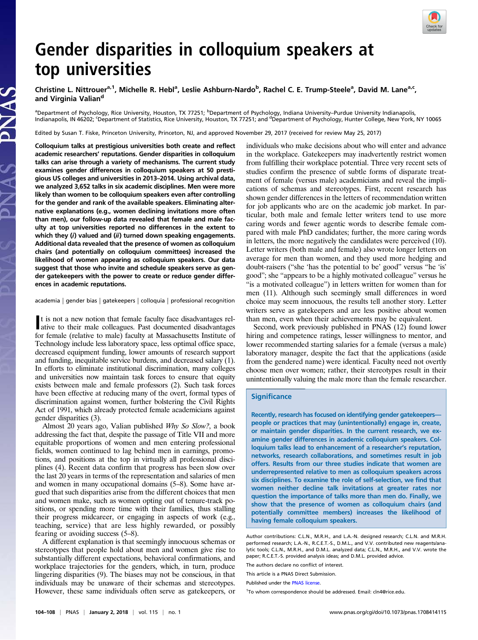

# Gender disparities in colloquium speakers at top universities

# Christine L. Nittrouer<sup>a, 1</sup>, Michelle R. Hebl<sup>a</sup>, Leslie Ashburn-Nardo<sup>b</sup>, Rachel C. E. Trump-Steele<sup>a</sup>, David M. Lane<sup>a, c</sup>, and Virginia Valian<sup>d</sup>

<sup>a</sup>Department of Psychology, Rice University, Houston, TX 77251; <sup>b</sup>Department of Psychology, Indiana University–Purdue University Indianapolis, Indianapolis, IN 46202; <sup>c</sup>Department of Statistics, Rice University, Houston, TX 77251; and <sup>d</sup>Department of Psychology, Hunter College, New York, NY 10065

Edited by Susan T. Fiske, Princeton University, Princeton, NJ, and approved November 29, 2017 (received for review May 25, 2017)

Colloquium talks at prestigious universities both create and reflect academic researchers' reputations. Gender disparities in colloquium talks can arise through a variety of mechanisms. The current study examines gender differences in colloquium speakers at 50 prestigious US colleges and universities in 2013–2014. Using archival data, we analyzed 3,652 talks in six academic disciplines. Men were more likely than women to be colloquium speakers even after controlling for the gender and rank of the available speakers. Eliminating alternative explanations (e.g., women declining invitations more often than men), our follow-up data revealed that female and male faculty at top universities reported no differences in the extent to which they (i) valued and (ii) turned down speaking engagements. Additional data revealed that the presence of women as colloquium chairs (and potentially on colloquium committees) increased the likelihood of women appearing as colloquium speakers. Our data suggest that those who invite and schedule speakers serve as gender gatekeepers with the power to create or reduce gender differences in academic reputations.

academia | gender bias | gatekeepers | colloquia | professional recognition

It is not a new notion that female faculty face disadvantages relative to their male colleagues. Past documented disadvantages ative to their male colleagues. Past documented disadvantages for female (relative to male) faculty at Massachusetts Institute of Technology include less laboratory space, less optimal office space, decreased equipment funding, lower amounts of research support and funding, inequitable service burdens, and decreased salary (1). In efforts to eliminate institutional discrimination, many colleges and universities now maintain task forces to ensure that equity exists between male and female professors (2). Such task forces have been effective at reducing many of the overt, formal types of discrimination against women, further bolstering the Civil Rights Act of 1991, which already protected female academicians against gender disparities (3).

Almost 20 years ago, Valian published Why So Slow?, a book addressing the fact that, despite the passage of Title VII and more equitable proportions of women and men entering professional fields, women continued to lag behind men in earnings, promotions, and positions at the top in virtually all professional disciplines (4). Recent data confirm that progress has been slow over the last 20 years in terms of the representation and salaries of men and women in many occupational domains (5–8). Some have argued that such disparities arise from the different choices that men and women make, such as women opting out of tenure-track positions, or spending more time with their families, thus stalling their progress midcareer, or engaging in aspects of work (e.g., teaching, service) that are less highly rewarded, or possibly fearing or avoiding success (5–8).

A different explanation is that seemingly innocuous schemas or stereotypes that people hold about men and women give rise to substantially different expectations, behavioral confirmations, and workplace trajectories for the genders, which, in turn, produce lingering disparities (9). The biases may not be conscious, in that individuals may be unaware of their schemas and stereotypes. However, these same individuals often serve as gatekeepers, or

individuals who make decisions about who will enter and advance in the workplace. Gatekeepers may inadvertently restrict women from fulfilling their workplace potential. Three very recent sets of studies confirm the presence of subtle forms of disparate treatment of female (versus male) academicians and reveal the implications of schemas and stereotypes. First, recent research has shown gender differences in the letters of recommendation written for job applicants who are on the academic job market. In particular, both male and female letter writers tend to use more caring words and fewer agentic words to describe female compared with male PhD candidates; further, the more caring words in letters, the more negatively the candidates were perceived (10). Letter writers (both male and female) also wrote longer letters on average for men than women, and they used more hedging and doubt-raisers ("she 'has the potential to be' good" versus "he 'is' good"; she "appears to be a highly motivated colleague" versus he "is a motivated colleague") in letters written for women than for men (11). Although such seemingly small differences in word choice may seem innocuous, the results tell another story. Letter writers serve as gatekeepers and are less positive about women than men, even when their achievements may be equivalent.

Second, work previously published in PNAS (12) found lower hiring and competence ratings, lesser willingness to mentor, and lower recommended starting salaries for a female (versus a male) laboratory manager, despite the fact that the applications (aside from the gendered name) were identical. Faculty need not overtly choose men over women; rather, their stereotypes result in their unintentionally valuing the male more than the female researcher.

#### **Significance**

Recently, research has focused on identifying gender gatekeepers people or practices that may (unintentionally) engage in, create, or maintain gender disparities. In the current research, we examine gender differences in academic colloquium speakers. Colloquium talks lead to enhancement of a researcher's reputation, networks, research collaborations, and sometimes result in job offers. Results from our three studies indicate that women are underrepresented relative to men as colloquium speakers across six disciplines. To examine the role of self-selection, we find that women neither decline talk invitations at greater rates nor question the importance of talks more than men do. Finally, we show that the presence of women as colloquium chairs (and potentially committee members) increases the likelihood of having female colloquium speakers.

Author contributions: C.L.N., M.R.H., and L.A.-N. designed research; C.L.N. and M.R.H. performed research; L.A.-N., R.C.E.T.-S., D.M.L., and V.V. contributed new reagents/analytic tools; C.L.N., M.R.H., and D.M.L. analyzed data; C.L.N., M.R.H., and V.V. wrote the paper; R.C.E.T.-S. provided analysis ideas; and D.M.L. provided advice.

The authors declare no conflict of interest.

This article is a PNAS Direct Submission.

Published under the [PNAS license](http://www.pnas.org/site/aboutpnas/licenses.xhtml).

<sup>1</sup>To whom correspondence should be addressed. Email: [cln4@rice.edu.](mailto:cln4@rice.edu)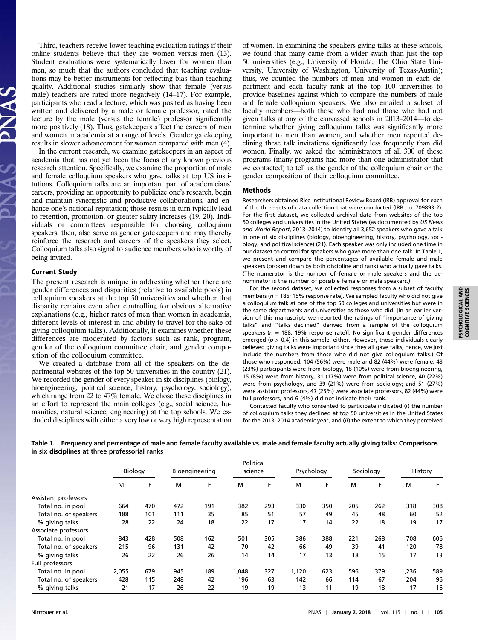Third, teachers receive lower teaching evaluation ratings if their online students believe that they are women versus men (13). Student evaluations were systematically lower for women than men, so much that the authors concluded that teaching evaluations may be better instruments for reflecting bias than teaching quality. Additional studies similarly show that female (versus male) teachers are rated more negatively (14–17). For example, participants who read a lecture, which was posited as having been written and delivered by a male or female professor, rated the lecture by the male (versus the female) professor significantly more positively (18). Thus, gatekeepers affect the careers of men and women in academia at a range of levels. Gender gatekeeping results in slower advancement for women compared with men (4).

In the current research, we examine gatekeepers in an aspect of academia that has not yet been the focus of any known previous research attention. Specifically, we examine the proportion of male and female colloquium speakers who gave talks at top US institutions. Colloquium talks are an important part of academicians' careers, providing an opportunity to publicize one's research, begin and maintain synergistic and productive collaborations, and enhance one's national reputation; those results in turn typically lead to retention, promotion, or greater salary increases (19, 20). Individuals or committees responsible for choosing colloquium speakers, then, also serve as gender gatekeepers and may thereby reinforce the research and careers of the speakers they select. Colloquium talks also signal to audience members who is worthy of being invited.

# Current Study

The present research is unique in addressing whether there are gender differences and disparities (relative to available pools) in colloquium speakers at the top 50 universities and whether that disparity remains even after controlling for obvious alternative explanations (e.g., higher rates of men than women in academia, different levels of interest in and ability to travel for the sake of giving colloquium talks). Additionally, it examines whether these differences are moderated by factors such as rank, program, gender of the colloquium committee chair, and gender composition of the colloquium committee.

We created a database from all of the speakers on the departmental websites of the top 50 universities in the country (21). We recorded the gender of every speaker in six disciplines (biology, bioengineering, political science, history, psychology, sociology), which range from 22 to 47% female. We chose these disciplines in an effort to represent the main colleges (e.g., social science, humanities, natural science, engineering) at the top schools. We excluded disciplines with either a very low or very high representation of women. In examining the speakers giving talks at these schools, we found that many came from a wider swath than just the top 50 universities (e.g., University of Florida, The Ohio State University, University of Washington, University of Texas-Austin); thus, we counted the numbers of men and women in each department and each faculty rank at the top 100 universities to provide baselines against which to compare the numbers of male and female colloquium speakers. We also emailed a subset of faculty members—both those who had and those who had not given talks at any of the canvassed schools in 2013–2014—to determine whether giving colloquium talks was significantly more important to men than women, and whether men reported declining these talk invitations significantly less frequently than did women. Finally, we asked the administrators of all 300 of these programs (many programs had more than one administrator that we contacted) to tell us the gender of the colloquium chair or the gender composition of their colloquium committee.

#### Methods

Researchers obtained Rice Institutional Review Board (IRB) approval for each of the three sets of data collection that were conducted (IRB no. 709893-2). For the first dataset, we collected archival data from websites of the top 50 colleges and universities in the United States (as documented by US News and World Report, 2013–2014) to identify all 3,652 speakers who gave a talk in one of six disciplines (biology, bioengineering, history, psychology, sociology, and political science) (21). Each speaker was only included one time in our dataset to control for speakers who gave more than one talk. In Table 1, we present and compare the percentages of available female and male speakers (broken down by both discipline and rank) who actually gave talks. (The numerator is the number of female or male speakers and the denominator is the number of possible female or male speakers.)

For the second dataset, we collected responses from a subset of faculty members ( $n = 186$ ; 15% response rate). We sampled faculty who did not give a colloquium talk at one of the top 50 colleges and universities but were in the same departments and universities as those who did. [In an earlier version of this manuscript, we reported the ratings of "importance of giving talks" and "talks declined" derived from a sample of the colloquium speakers ( $n = 188$ ; 19% response rate)]. No significant gender differences emerged ( $p > 0.4$ ) in this sample, either. However, those individuals clearly believed giving talks were important since they all gave talks; hence, we just include the numbers from those who did not give colloquium talks.) Of those who responded, 104 (56%) were male and 82 (44%) were female; 43 (23%) participants were from biology, 18 (10%) were from bioengineering, 15 (8%) were from history, 31 (17%) were from political science, 40 (22%) were from psychology, and 39 (21%) were from sociology; and 51 (27%) were assistant professors, 47 (25%) were associate professors, 82 (44%) were full professors, and 6 (4%) did not indicate their rank.

Contacted faculty who consented to participate indicated (i) the number of colloquium talks they declined at top 50 universities in the United States for the 2013-2014 academic year, and (ii) the extent to which they perceived

|                       | Biology |     | Bioengineering |     | Political<br>science |     | Psychology |     | Sociology |     | History |     |
|-----------------------|---------|-----|----------------|-----|----------------------|-----|------------|-----|-----------|-----|---------|-----|
|                       | м       | F   | м              | F   | М                    | F   | M          | F   | м         | F   | м       | F.  |
| Assistant professors  |         |     |                |     |                      |     |            |     |           |     |         |     |
| Total no. in pool     | 664     | 470 | 472            | 191 | 382                  | 293 | 330        | 350 | 205       | 262 | 318     | 308 |
| Total no. of speakers | 188     | 101 | 111            | 35  | 85                   | 51  | 57         | 49  | 45        | 48  | 60      | 52  |
| % giving talks        | 28      | 22  | 24             | 18  | 22                   | 17  | 17         | 14  | 22        | 18  | 19      | 17  |
| Associate professors  |         |     |                |     |                      |     |            |     |           |     |         |     |
| Total no. in pool     | 843     | 428 | 508            | 162 | 501                  | 305 | 386        | 388 | 221       | 268 | 708     | 606 |
| Total no. of speakers | 215     | 96  | 131            | 42  | 70                   | 42  | 66         | 49  | 39        | 41  | 120     | 78  |
| % giving talks        | 26      | 22  | 26             | 26  | 14                   | 14  | 17         | 13  | 18        | 15  | 17      | 13  |
| Full professors       |         |     |                |     |                      |     |            |     |           |     |         |     |
| Total no. in pool     | 2,055   | 679 | 945            | 189 | 1,048                | 327 | 1,120      | 623 | 596       | 379 | 1,236   | 589 |
| Total no. of speakers | 428     | 115 | 248            | 42  | 196                  | 63  | 142        | 66  | 114       | 67  | 204     | 96  |
| % giving talks        | 21      | 17  | 26             | 22  | 19                   | 19  | 13         | 11  | 19        | 18  | 17      | 16  |

Table 1. Frequency and percentage of male and female faculty available vs. male and female faculty actually giving talks: Comparisons in six disciplines at three professorial ranks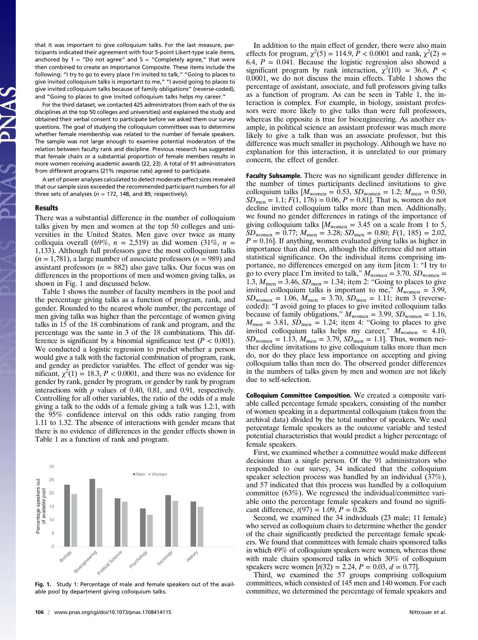that it was important to give colloquium talks. For the last measure, participants indicated their agreement with four 5-point Likert-type scale items, anchored by  $1 =$  "Do not agree" and  $5 =$  "Completely agree," that were then combined to create an Importance Composite. These items include the following: "I try to go to every place I'm invited to talk," "Going to places to give invited colloquium talks is important to me," "I avoid going to places to give invited colloquium talks because of family obligations" (reverse-coded), and "Going to places to give invited colloquium talks helps my career."

For the third dataset, we contacted 425 administrators (from each of the six disciplines at the top 50 colleges and universities) and explained the study and obtained their verbal consent to participate before we asked them our survey questions. The goal of studying the colloquium committees was to determine whether female membership was related to the number of female speakers. The sample was not large enough to examine potential moderators of the relation between faculty rank and discipline. Previous research has suggested that female chairs or a substantial proportion of female members results in more women receiving academic awards (22, 23). A total of 91 administrators from different programs (21% response rate) agreed to participate.

A set of power analyses calculated to detect moderate effect sizes revealed that our sample sizes exceeded the recommended participant numbers for all three sets of analyses ( $n = 172$ , 148, and 89, respectively).

### Results

There was a substantial difference in the number of colloquium talks given by men and women at the top 50 colleges and universities in the United States. Men gave over twice as many colloquia overall (69%,  $n = 2,519$ ) as did women (31%,  $n =$ 1,133). Although full professors gave the most colloquium talks  $(n = 1,781)$ , a large number of associate professors  $(n = 989)$  and assistant professors ( $n = 882$ ) also gave talks. Our focus was on differences in the proportions of men and women giving talks, as shown in Fig. 1 and discussed below.

Table 1 shows the number of faculty members in the pool and the percentage giving talks as a function of program, rank, and gender. Rounded to the nearest whole number, the percentage of men giving talks was higher than the percentage of women giving talks in 15 of the 18 combinations of rank and program, and the percentage was the same in 3 of the 18 combinations. This difference is significant by a binomial significance test ( $P < 0.001$ ). We conducted a logistic regression to predict whether a person would give a talk with the factorial combination of program, rank, and gender as predictor variables. The effect of gender was significant,  $\chi^2(1) = 18.3$ ,  $P < 0.0001$ , and there was no evidence for gender by rank, gender by program, or gender by rank by program interactions with  $p$  values of 0.40, 0.81, and 0.91, respectively. Controlling for all other variables, the ratio of the odds of a male giving a talk to the odds of a female giving a talk was 1.2:1, with the 95% confidence interval on this odds ratio ranging from 1.11 to 1.32. The absence of interactions with gender means that there is no evidence of differences in the gender effects shown in Table 1 as a function of rank and program.



Fig. 1. Study 1: Percentage of male and female speakers out of the available pool by department giving colloquium talks.

In addition to the main effect of gender, there were also main effects for program,  $\chi^2(5) = 114.9, \tilde{P} < 0.0001$  and rank,  $\chi^2(2) =$ 6.4,  $P = 0.041$ . Because the logistic regression also showed a significant program by rank interaction,  $\chi^2(10) = 36.6$ ,  $P <$ 0.0001, we do not discuss the main effects. Table 1 shows the percentage of assistant, associate, and full professors giving talks as a function of program. As can be seen in Table 1, the interaction is complex. For example, in biology, assistant professors were more likely to give talks than were full professors, whereas the opposite is true for bioengineering. As another example, in political science an assistant professor was much more likely to give a talk than was an associate professor, but this difference was much smaller in psychology. Although we have no explanation for this interaction, it is unrelated to our primary concern, the effect of gender.

Faculty Subsample. There was no significant gender difference in the number of times participants declined invitations to give colloquium talks  $\overline{M_{\text{women}}} = 0.53$ ,  $SD_{\text{women}} = 1.2$ ;  $M_{\text{men}} = 0.50$ ,  $SD_{\text{men}} = 1.1; F(1, 176) = 0.06, P = 0.81$ . That is, women do not decline invited colloquium talks more than men. Additionally, we found no gender differences in ratings of the importance of giving colloquium talks  $[M_{\text{women}} = 3.45 \text{ on a scale from 1 to 5,}$  $\overline{SD}_{\text{women}} = 0.77; M_{\text{men}} = 3.28; SD_{\text{men}} = 0.80; F(1, 185) = 2.02,$  $P = 0.16$ . If anything, women evaluated giving talks as higher in importance than did men, although the difference did not attain statistical significance. On the individual items comprising importance, no differences emerged on any item [item 1: "I try to go to every place I'm invited to talk,"  $M_{\text{women}} = 3.70$ ,  $SD_{\text{women}} =$ 1.3,  $M_{\text{men}} = 3.46$ ,  $SD_{\text{men}} = 1.34$ ; item 2: "Going to places to give invited colloquium talks is important to me,"  $M_{\text{women}} = 3.99$ ,  $SD_{\text{women}} = 1.06, M_{\text{men}} = 3.70, SD_{\text{men}} = 1.11$ ; item 3 (reversecoded): "I avoid going to places to give invited colloquium talks because of family obligations,"  $M_{\text{women}} = 3.99$ ,  $SD_{\text{women}} = 1.16$ ,  $M_{\text{men}} = 3.81, S\dot{D}_{\text{men}} = 1.24$ ; item 4: "Going to places to give invited colloquium talks helps my career,"  $M_{\text{women}} = 4.10$ ,  $SD_{\text{women}} = 1.13, M_{\text{men}} = 3.79, SD_{\text{men}} = 1.1$ ]. Thus, women neither decline invitations to give colloquium talks more than men do, nor do they place less importance on accepting and giving colloquium talks than men do. The observed gender differences in the numbers of talks given by men and women are not likely due to self-selection.

Colloquium Committee Composition. We created a composite variable called percentage female speakers, consisting of the number of women speaking in a departmental colloquium (taken from the archival data) divided by the total number of speakers. We used percentage female speakers as the outcome variable and tested potential characteristics that would predict a higher percentage of female speakers.

First, we examined whether a committee would make different decisions than a single person. Of the 91 administrators who responded to our survey, 34 indicated that the colloquium speaker selection process was handled by an individual (37%), and 57 indicated that this process was handled by a colloquium committee (63%). We regressed the individual/committee variable onto the percentage female speakers and found no significant difference,  $t(97) = 1.09$ ,  $P = 0.28$ .

Second, we examined the 34 individuals (23 male; 11 female) who served as colloquium chairs to determine whether the gender of the chair significantly predicted the percentage female speakers. We found that committees with female chairs sponsored talks in which 49% of colloquium speakers were women, whereas those with male chairs sponsored talks in which 30% of colloquium speakers were women  $[t(32) = 2.24, P = 0.03, d = 0.77]$ .

Third, we examined the 57 groups comprising colloquium committees, which consisted of 145 men and 140 women. For each committee, we determined the percentage of female speakers and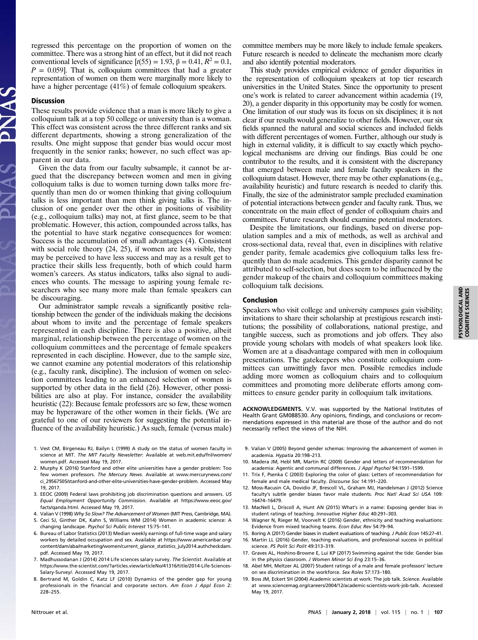regressed this percentage on the proportion of women on the committee. There was a strong hint of an effect, but it did not reach conventional levels of significance  $[t(55) = 1.93, \beta = 0.41, R^2 = 0.1,$  $P = 0.059$ . That is, colloquium committees that had a greater representation of women on them were marginally more likely to have a higher percentage (41%) of female colloquium speakers.

## **Discussion**

These results provide evidence that a man is more likely to give a colloquium talk at a top 50 college or university than is a woman. This effect was consistent across the three different ranks and six different departments, showing a strong generalization of the results. One might suppose that gender bias would occur most frequently in the senior ranks; however, no such effect was apparent in our data.

Given the data from our faculty subsample, it cannot be argued that the discrepancy between women and men in giving colloquium talks is due to women turning down talks more frequently than men do or women thinking that giving colloquium talks is less important than men think giving talks is. The inclusion of one gender over the other in positions of visibility (e.g., colloquium talks) may not, at first glance, seem to be that problematic. However, this action, compounded across talks, has the potential to have stark negative consequences for women: Success is the accumulation of small advantages (4). Consistent with social role theory (24, 25), if women are less visible, they may be perceived to have less success and may as a result get to practice their skills less frequently, both of which could harm women's careers. As status indicators, talks also signal to audiences who counts. The message to aspiring young female researchers who see many more male than female speakers can be discouraging.

Our administrator sample reveals a significantly positive relationship between the gender of the individuals making the decisions about whom to invite and the percentage of female speakers represented in each discipline. There is also a positive, albeit marginal, relationship between the percentage of women on the colloquium committees and the percentage of female speakers represented in each discipline. However, due to the sample size, we cannot examine any potential moderators of this relationship (e.g., faculty rank, discipline). The inclusion of women on selection committees leading to an enhanced selection of women is supported by other data in the field (26). However, other possibilities are also at play. For instance, consider the availability heuristic (22): Because female professors are so few, these women may be hyperaware of the other women in their fields. (We are grateful to one of our reviewers for suggesting the potential influence of the availability heuristic.) As such, female (versus male)

- 1. Vest CM, Birgeneau RJ, Bailyn L (1999) A study on the status of women faculty in science at MIT. The MIT Faculty Newsletter: Available at [web.mit.edu/fnl/women/](http://web.mit.edu/fnl/women/women.pdf) [women.pdf](http://web.mit.edu/fnl/women/women.pdf). Accessed May 19, 2017.
- 2. Murphy K (2016) Stanford and other elite universities have a gender problem: Too few women professors. The Mercury News. Available at [www.mercurynews.com/](http://www.mercurynews.com/ci_29567505/stanford-and-other-elite-universities-have-gender-problem) [ci\\_29567505/stanford-and-other-elite-universities-have-gender-problem.](http://www.mercurynews.com/ci_29567505/stanford-and-other-elite-universities-have-gender-problem) Accessed May 19, 2017.
- 3. EEOC (2009) Federal laws prohibiting job discrimination questions and answers. US Equal Employment Opportunity Commission. Available at [https://www.eeoc.gov/](https://www.eeoc.gov/facts/qanda.html) [facts/qanda.html](https://www.eeoc.gov/facts/qanda.html). Accessed May 19, 2017.
- 4. Valian V (1998) Why So Slow? The Advancement of Women (MIT Press, Cambridge, MA).
- 5. Ceci SJ, Ginther DK, Kahn S, Williams WM (2014) Women in academic science: A changing landscape. Psychol Sci Public Interest 15:75–141.
- 6. Bureau of Labor Statistics (2013) Median weekly earnings of full-time wage and salary workers by detailed occupation and sex. Available at [https://www.americanbar.org/](https://www.americanbar.org/content/dam/aba/marketing/women/current_glance_statistics_july2014.authcheckdam.pdf) [content/dam/aba/marketing/women/current\\_glance\\_statistics\\_july2014.authcheckdam.](https://www.americanbar.org/content/dam/aba/marketing/women/current_glance_statistics_july2014.authcheckdam.pdf) [pdf.](https://www.americanbar.org/content/dam/aba/marketing/women/current_glance_statistics_july2014.authcheckdam.pdf) Accessed May 19, 2017.
- 7. Madhussodanan J (2014) 2014 Life sciences salary survey. The Scientist. Available at [https://www.the-scientist.com/?articles.view/articleNo/41316/title/2014-Life-Sciences-](https://www.the-scientist.com/?articles.view/articleNo/41316/title/2014-Life-Sciences-Salary-Survey/)[Salary-Survey/](https://www.the-scientist.com/?articles.view/articleNo/41316/title/2014-Life-Sciences-Salary-Survey/). Accessed May 19, 2017.
- 8. Bertrand M, Goldin C, Katz LF (2010) Dynamics of the gender gap for young professionals in the financial and corporate sectors. Am Econ J Appl Econ 2: 228–255.

committee members may be more likely to include female speakers. Future research is needed to delineate the mechanism more clearly and also identify potential moderators.

This study provides empirical evidence of gender disparities in the representation of colloquium speakers at top tier research universities in the United States. Since the opportunity to present one's work is related to career advancement within academia (19, 20), a gender disparity in this opportunity may be costly for women. One limitation of our study was its focus on six disciplines; it is not clear if our results would generalize to other fields. However, our six fields spanned the natural and social sciences and included fields with different percentages of women. Further, although our study is high in external validity, it is difficult to say exactly which psychological mechanisms are driving our findings. Bias could be one contributor to the results, and it is consistent with the discrepancy that emerged between male and female faculty speakers in the colloquium dataset. However, there may be other explanations (e.g., availability heuristic) and future research is needed to clarify this. Finally, the size of the administrator sample precluded examination of potential interactions between gender and faculty rank. Thus, we concentrate on the main effect of gender of colloquium chairs and committees. Future research should examine potential moderators.

Despite the limitations, our findings, based on diverse population samples and a mix of methods, as well as archival and cross-sectional data, reveal that, even in disciplines with relative gender parity, female academics give colloquium talks less frequently than do male academics. This gender disparity cannot be attributed to self-selection, but does seem to be influenced by the gender makeup of the chairs and colloquium committees making colloquium talk decisions.

#### Conclusion

Speakers who visit college and university campuses gain visibility; invitations to share their scholarship at prestigious research institutions; the possibility of collaborations, national prestige, and tangible success, such as promotions and job offers. They also provide young scholars with models of what speakers look like. Women are at a disadvantage compared with men in colloquium presentations. The gatekeepers who constitute colloquium committees can unwittingly favor men. Possible remedies include adding more women as colloquium chairs and to colloquium committees and promoting more deliberate efforts among committees to ensure gender parity in colloquium talk invitations.

ACKNOWLEDGMENTS. V.V. was supported by the National Institutes of Health Grant GM088530. Any opinions, findings, and conclusions or recommendations expressed in this material are those of the author and do not necessarily reflect the views of the NIH.

- 9. Valian V (2005) Beyond gender schemas: Improving the advancement of women in academia. Hypatia 20:198–213.
- 10. Madera JM, Hebl MR, Martin RC (2009) Gender and letters of recommendation for academia: Agentic and communal differences. J Appl Psychol 94:1591–1599.
- 11. Trix F, Psenka C (2003) Exploring the color of glass: Letters of recommendation for female and male medical faculty. Discourse Soc 14:191–220.
- 12. Moss-Racusin CA, Dovidio JF, Brescoll VL, Graham MJ, Handelsman J (2012) Science faculty's subtle gender biases favor male students. Proc Natl Acad Sci USA 109: 16474–16479.
- 13. MacNell L, Driscoll A, Hunt AN (2015) What's in a name: Exposing gender bias in student ratings of teaching. Innovative Higher Educ 40:291–303.
- 14. Wagner N, Rieger M, Voorvelt K (2016) Gender, ethnicity and teaching evaluations: Evidence from mixed teaching teams. Econ Educ Rev 54:79–94.
- 15. Boring A (2017) Gender biases in student evaluations of teaching. J Public Econ 145:27–41. 16. Martin LL (2016) Gender, teaching evaluations, and professional success in political science. PS Polit Sci Polit 49:313–319.
- 17. Graves AL, Hoshino-Browne E, Lui KP (2017) Swimming against the tide: Gender bias in the physics classroom. J Women Minor Sci Eng 23:15–36.
- 18. Abel MH, Meltzer AL (2007) Student ratings of a male and female professors' lecture on sex discrimination in the workforce. Sex Roles 57:173–180.
- 19. Boss JM, Eckert SH (2004) Academic scientists at work: The job talk. Science. Available at [www.sciencemag.org/careers/2004/12/academic-scientists-work-job-talk.](http://www.sciencemag.org/careers/2004/12/academic-scientists-work-job-talk) Accessed May 19, 2017.